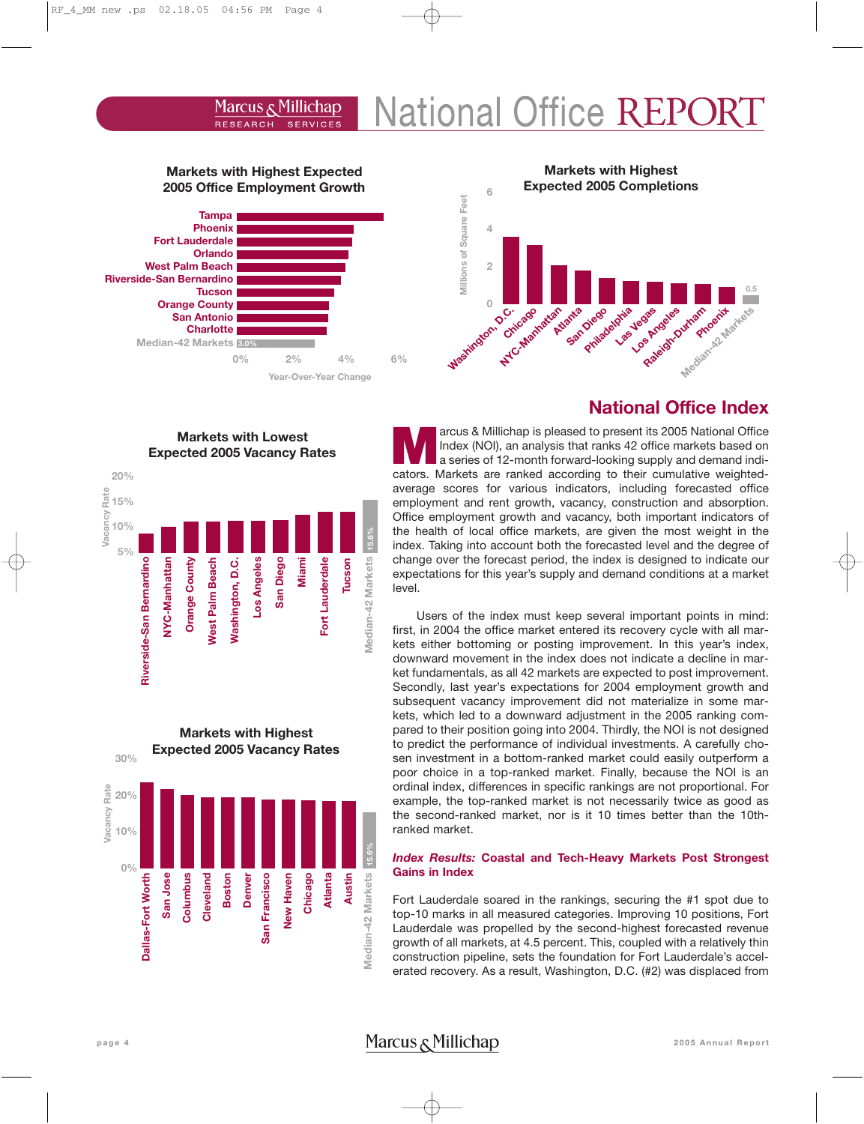#### **National Office REP** Marcus & Millichap **RESEARCH SERVICES**

# **Markets with Highest Expected 2005 Office Employment Growth**



**Markets with Lowest Expected 2005 Vacancy Rates**

> **Los Angeles San Diego Miami**

San Diego

Los Angeles

**Markets with Highest Expected 2005 Vacancy Rates**

> **San Francisco New Haven Chicago Atlanta Austin**

San Francisco New Haven **15.6%**

**Median-42 Markets**

**Aedian-42 Markets** 

**15.6%**

**Median-42 Markets**

Median-42 Markets

**Fort Lauderdale**

Fort Lauderdale

**Tucson**

#### **Markets with Highest Expected 2005 Completions 6** Millions of Square Feet **Millions of Square Feet 4 2 0.5 Raleigh-Durham San Diego** Las Vegas Los Angeles **Mashington, O.C.**<br>Mashington, O.C. **Atlanta Philadelphia Chicago** Astran Like of Markets

# **National Office Index**

**Marcus & Millichap is pleased to present its 2005 National Office**<br>
a series of 12-month forward-looking supply and demand indi-<br>
a series of 12-month forward-looking supply and demand indi-<br>
a series are Markets are all Index (NOI), an analysis that ranks 42 office markets based on cators. Markets are ranked according to their cumulative weightedaverage scores for various indicators, including forecasted office employment and rent growth, vacancy, construction and absorption. Office employment growth and vacancy, both important indicators of the health of local office markets, are given the most weight in the index. Taking into account both the forecasted level and the degree of change over the forecast period, the index is designed to indicate our expectations for this year's supply and demand conditions at a market level.

Users of the index must keep several important points in mind: first, in 2004 the office market entered its recovery cycle with all markets either bottoming or posting improvement. In this year's index, downward movement in the index does not indicate a decline in market fundamentals, as all 42 markets are expected to post improvement. Secondly, last year's expectations for 2004 employment growth and subsequent vacancy improvement did not materialize in some markets, which led to a downward adjustment in the 2005 ranking compared to their position going into 2004. Thirdly, the NOI is not designed to predict the performance of individual investments. A carefully chosen investment in a bottom-ranked market could easily outperform a poor choice in a top-ranked market. Finally, because the NOI is an ordinal index, differences in specific rankings are not proportional. For example, the top-ranked market is not necessarily twice as good as the second-ranked market, nor is it 10 times better than the 10thranked market.

## *Index Results:* **Coastal and Tech-Heavy Markets Post Strongest Gains in Index**

Fort Lauderdale soared in the rankings, securing the #1 spot due to top-10 marks in all measured categories. Improving 10 positions, Fort Lauderdale was propelled by the second-highest forecasted revenue growth of all markets, at 4.5 percent. This, coupled with a relatively thin construction pipeline, sets the foundation for Fort Lauderdale's accelerated recovery. As a result, Washington, D.C. (#2) was displaced from

# page 4 **1988 1999 12005 Annual Report** Marcus **Allichap** 2005 Annual Report

# **Dallas-Fort Worth** San Jose **Columbus San Jose Dallas-Fort Worth Columbus**

**Cleveland Boston Denver**

**Cleveland** 

**0%**

**10%**

**20%**

**Vacancy Rate**

Vacancy Rate

**30%**

**5% 10%**

**Riverside-San Bernardino**

Riverside-San Bernardino

**NYC-Manhattan Orange County West Palm Beach Washington, D.C.**

**Orange County Vest Palm Beach Nashington, D.C.** 

NYC-Manhattan

**15% 20%**

**Vacancy Rate**

Vacancy